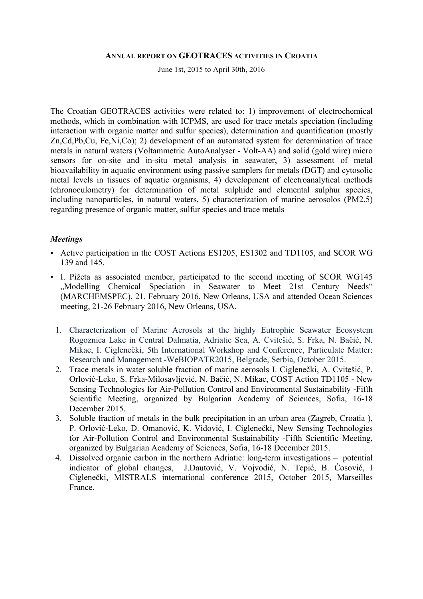#### **ANNUAL REPORT ON GEOTRACES ACTIVITIES IN CROATIA**

June 1st, 2015 to April 30th, 2016

The Croatian GEOTRACES activities were related to: 1) improvement of electrochemical methods, which in combination with ICPMS, are used for trace metals speciation (including interaction with organic matter and sulfur species), determination and quantification (mostly Zn,Cd,Pb,Cu, Fe,Ni,Co); 2) development of an automated system for determination of trace metals in natural waters (Voltammetric AutoAnalyser - Volt-AA) and solid (gold wire) micro sensors for on-site and in-situ metal analysis in seawater, 3) assessment of metal bioavailability in aquatic environment using passive samplers for metals (DGT) and cytosolic metal levels in tissues of aquatic organisms, 4) development of electroanalytical methods (chronoculometry) for determination of metal sulphide and elemental sulphur species, including nanoparticles, in natural waters, 5) characterization of marine aerosolos (PM2.5) regarding presence of organic matter, sulfur species and trace metals

### *Meetings*

- Active participation in the COST Actions ES1205, ES1302 and TD1105, and SCOR WG 139 and 145.
- I. Pižeta as associated member, participated to the second meeting of SCOR WG145 "Modelling Chemical Speciation in Seawater to Meet 21st Century Needs" (MARCHEMSPEC), 21. February 2016, New Orleans, USA and attended Ocean Sciences meeting, 21-26 February 2016, New Orleans, USA.
	- 1. Characterization of Marine Aerosols at the highly Eutrophic Seawater Ecosystem Rogoznica Lake in Central Dalmatia, Adriatic Sea, A. Cvitešić, S. Frka, N. Bačić, N. Mikac, I. Ciglenečki, 5th International Workshop and Conference, Particulate Matter: Research and Management -WeBIOPATR2015, Belgrade, Serbia, October 2015.
	- 2. Trace metals in water soluble fraction of marine aerosols I. Ciglenečki, A. Cvitešić, P. Orlović-Leko, S. Frka-Milosavljević, N. Bačić, N. Mikac, COST Action TD1105 - New Sensing Technologies for Air-Pollution Control and Environmental Sustainability -Fifth Scientific Meeting, organized by Bulgarian Academy of Sciences, Sofia, 16-18 December 2015.
	- 3. Soluble fraction of metals in the bulk precipitation in an urban area (Zagreb, Croatia ), P. Orlović-Leko, D. Omanović, K. Vidović, I. Ciglenečki, New Sensing Technologies for Air-Pollution Control and Environmental Sustainability -Fifth Scientific Meeting, organized by Bulgarian Academy of Sciences, Sofia, 16-18 December 2015.
	- 4. Dissolved organic carbon in the northern Adriatic: long-term investigations potential indicator of global changes, J.Dautović, V. Vojvodić, N. Tepić, B. Ćosović, I Ciglenečki, MISTRALS international conference 2015, October 2015, Marseilles France.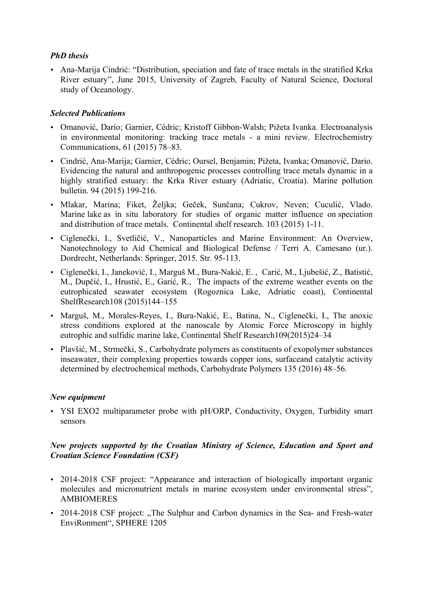# *PhD thesis*

• Ana-Marija Cindrić: "Distribution, speciation and fate of trace metals in the stratified Krka River estuary", June 2015, University of Zagreb, Faculty of Natural Science, Doctoral study of Oceanology.

# *Selected Publications*

- Omanović, Dario; Garnier, Cédric; Kristoff Gibbon-Walsh; Pižeta Ivanka. Electroanalysis in environmental monitoring: tracking trace metals - a mini review. Electrochemistry Communications, 61 (2015) 78–83.
- Cindrić, Ana-Marija; Garnier, Cédric; Oursel, Benjamin; Pižeta, Ivanka; Omanović, Dario. Evidencing the natural and anthropogenic processes controlling trace metals dynamic in a highly stratified estuary: the Krka River estuary (Adriatic, Croatia). Marine pollution bulletin. 94 (2015) 199-216.
- Mlakar, Marina; Fiket, Željka; Geček, Sunčana; Cukrov, Neven; Cuculić, Vlado. Marine lake as in situ laboratory for studies of organic matter influence on speciation and distribution of trace metals. Continental shelf research. 103 (2015) 1-11.
- Ciglenečki, I., Svetličić, V., Nanoparticles and Marine Environment: An Overview, Nanotechnology to Aid Chemical and Biological Defense / Terri A. Camesano (ur.). Dordrecht, Netherlands: Springer, 2015. Str. 95-113.
- Ciglenečki, I., Janeković, I., Marguš M., Bura-Nakić, E. , Carić, M., Ljubešić, Z., Batistić, M., Dupčić, I., Hrustić, E., Garić, R., The impacts of the extreme weather events on the eutrophicated seawater ecosystem (Rogoznica Lake, Adriatic coast), Continental ShelfResearch108 (2015)144–155
- Marguš, M., Morales-Reyes, I., Bura-Nakić, E., Batina, N., Ciglenečki, I., The anoxic stress conditions explored at the nanoscale by Atomic Force Microscopy in highly eutrophic and sulfidic marine lake, Continental Shelf Research109(2015)24–34
- Plavšić, M., Strmečki, S., Carbohydrate polymers as constituents of exopolymer substances inseawater, their complexing properties towards copper ions, surfaceand catalytic activity determined by electrochemical methods, Carbohydrate Polymers 135 (2016) 48–56.

# *New equipment*

• YSI EXO2 multiparameter probe with pH/ORP, Conductivity, Oxygen, Turbidity smart sensors

# *New projects supported by the Croatian Ministry of Science, Education and Sport and Croatian Science Foundation (CSF)*

- 2014-2018 CSF project: "Appearance and interaction of biologically important organic molecules and micronutrient metals in marine ecosystem under environmental stress", AMBIOMERES
- 2014-2018 CSF project: "The Sulphur and Carbon dynamics in the Sea- and Fresh-water EnviRonment", SPHERE 1205